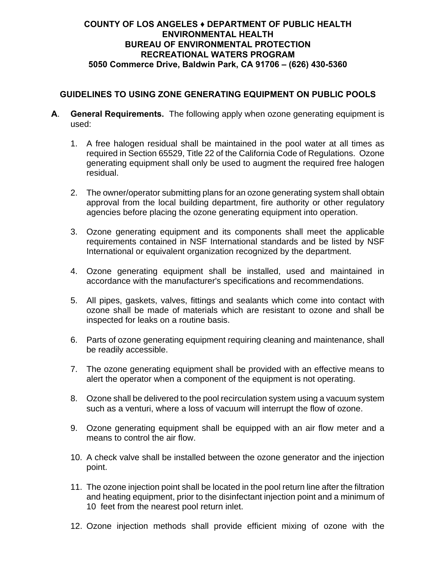## **COUNTY OF LOS ANGELES ♦ DEPARTMENT OF PUBLIC HEALTH ENVIRONMENTAL HEALTH BUREAU OF ENVIRONMENTAL PROTECTION RECREATIONAL WATERS PROGRAM 5050 Commerce Drive, Baldwin Park, CA 91706 – (626) 430-5360**

## **GUIDELINES TO USING ZONE GENERATING EQUIPMENT ON PUBLIC POOLS**

- **A**. **General Requirements.** The following apply when ozone generating equipment is used:
	- 1. A free halogen residual shall be maintained in the pool water at all times as required in Section 65529, Title 22 of the California Code of Regulations. Ozone generating equipment shall only be used to augment the required free halogen residual.
	- 2. The owner/operator submitting plans for an ozone generating system shall obtain approval from the local building department, fire authority or other regulatory agencies before placing the ozone generating equipment into operation.
	- 3. Ozone generating equipment and its components shall meet the applicable requirements contained in NSF International standards and be listed by NSF International or equivalent organization recognized by the department.
	- 4. Ozone generating equipment shall be installed, used and maintained in accordance with the manufacturer's specifications and recommendations.
	- 5. All pipes, gaskets, valves, fittings and sealants which come into contact with ozone shall be made of materials which are resistant to ozone and shall be inspected for leaks on a routine basis.
	- 6. Parts of ozone generating equipment requiring cleaning and maintenance, shall be readily accessible.
	- 7. The ozone generating equipment shall be provided with an effective means to alert the operator when a component of the equipment is not operating.
	- 8. Ozone shall be delivered to the pool recirculation system using a vacuum system such as a venturi, where a loss of vacuum will interrupt the flow of ozone.
	- 9. Ozone generating equipment shall be equipped with an air flow meter and a means to control the air flow.
	- 10. A check valve shall be installed between the ozone generator and the injection point.
	- 11. The ozone injection point shall be located in the pool return line after the filtration and heating equipment, prior to the disinfectant injection point and a minimum of 10 feet from the nearest pool return inlet.
	- 12. Ozone injection methods shall provide efficient mixing of ozone with the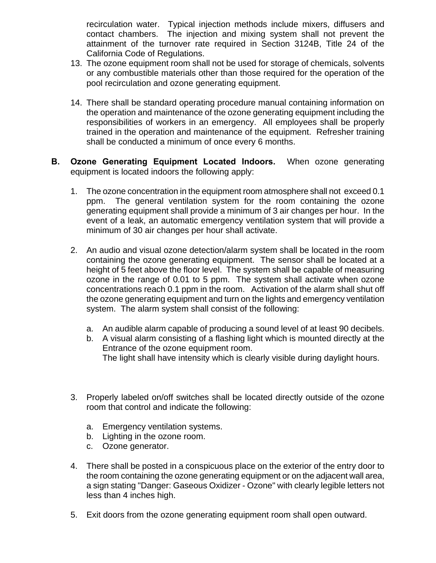recirculation water. Typical injection methods include mixers, diffusers and contact chambers. The injection and mixing system shall not prevent the attainment of the turnover rate required in Section 3124B, Title 24 of the California Code of Regulations.

- 13. The ozone equipment room shall not be used for storage of chemicals, solvents or any combustible materials other than those required for the operation of the pool recirculation and ozone generating equipment.
- 14. There shall be standard operating procedure manual containing information on the operation and maintenance of the ozone generating equipment including the responsibilities of workers in an emergency. All employees shall be properly trained in the operation and maintenance of the equipment. Refresher training shall be conducted a minimum of once every 6 months.
- **B. Ozone Generating Equipment Located Indoors.** When ozone generating equipment is located indoors the following apply:
	- 1. The ozone concentration in the equipment room atmosphere shall not exceed 0.1 ppm. The general ventilation system for the room containing the ozone generating equipment shall provide a minimum of 3 air changes per hour. In the event of a leak, an automatic emergency ventilation system that will provide a minimum of 30 air changes per hour shall activate.
	- 2. An audio and visual ozone detection/alarm system shall be located in the room containing the ozone generating equipment. The sensor shall be located at a height of 5 feet above the floor level. The system shall be capable of measuring ozone in the range of 0.01 to 5 ppm. The system shall activate when ozone concentrations reach 0.1 ppm in the room. Activation of the alarm shall shut off the ozone generating equipment and turn on the lights and emergency ventilation system. The alarm system shall consist of the following:
		- a. An audible alarm capable of producing a sound level of at least 90 decibels.
		- b. A visual alarm consisting of a flashing light which is mounted directly at the Entrance of the ozone equipment room.
			- The light shall have intensity which is clearly visible during daylight hours.
	- 3. Properly labeled on/off switches shall be located directly outside of the ozone room that control and indicate the following:
		- a. Emergency ventilation systems.
		- b. Lighting in the ozone room.
		- c. Ozone generator.
	- 4. There shall be posted in a conspicuous place on the exterior of the entry door to the room containing the ozone generating equipment or on the adjacent wall area, a sign stating "Danger: Gaseous Oxidizer - Ozone" with clearly legible letters not less than 4 inches high.
	- 5. Exit doors from the ozone generating equipment room shall open outward.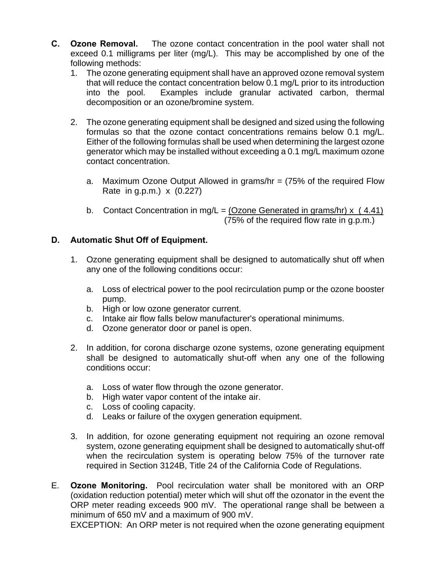- **C. Ozone Removal.** The ozone contact concentration in the pool water shall not exceed 0.1 milligrams per liter (mg/L). This may be accomplished by one of the following methods:
	- 1. The ozone generating equipment shall have an approved ozone removal system that will reduce the contact concentration below 0.1 mg/L prior to its introduction into the pool. Examples include granular activated carbon, thermal decomposition or an ozone/bromine system.
	- 2. The ozone generating equipment shall be designed and sized using the following formulas so that the ozone contact concentrations remains below 0.1 mg/L. Either of the following formulas shall be used when determining the largest ozone generator which may be installed without exceeding a 0.1 mg/L maximum ozone contact concentration.
		- a. Maximum Ozone Output Allowed in grams/hr = (75% of the required Flow Rate in g.p.m.) x (0.227)
		- b. Contact Concentration in mg/L =  $\overline{(Ozone~Generated~in~grams/hr)} \times (4.41)$ (75% of the required flow rate in g.p.m.)

## **D. Automatic Shut Off of Equipment.**

- 1. Ozone generating equipment shall be designed to automatically shut off when any one of the following conditions occur:
	- a. Loss of electrical power to the pool recirculation pump or the ozone booster pump.
	- b. High or low ozone generator current.
	- c. Intake air flow falls below manufacturer's operational minimums.
	- d. Ozone generator door or panel is open.
- 2. In addition, for corona discharge ozone systems, ozone generating equipment shall be designed to automatically shut-off when any one of the following conditions occur:
	- a. Loss of water flow through the ozone generator.
	- b. High water vapor content of the intake air.
	- c. Loss of cooling capacity.
	- d. Leaks or failure of the oxygen generation equipment.
- 3. In addition, for ozone generating equipment not requiring an ozone removal system, ozone generating equipment shall be designed to automatically shut-off when the recirculation system is operating below 75% of the turnover rate required in Section 3124B, Title 24 of the California Code of Regulations.
- E. **Ozone Monitoring.** Pool recirculation water shall be monitored with an ORP (oxidation reduction potential) meter which will shut off the ozonator in the event the ORP meter reading exceeds 900 mV. The operational range shall be between a minimum of 650 mV and a maximum of 900 mV.

EXCEPTION: An ORP meter is not required when the ozone generating equipment